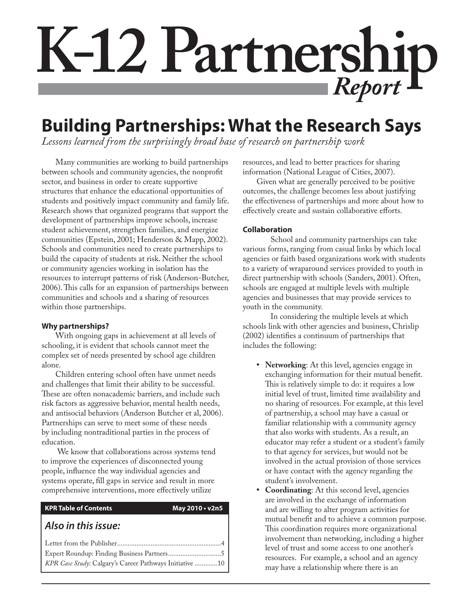# **K-12 Partnership** *Report*

# **Building Partnerships: What the Research Says**

*Lessons learned from the surprisingly broad base of research on partnership work*

Many communities are working to build partnerships between schools and community agencies, the nonprofit sector, and business in order to create supportive structures that enhance the educational opportunities of students and positively impact community and family life. Research shows that organized programs that support the development of partnerships improve schools, increase student achievement, strengthen families, and energize communities (Epstein, 2001; Henderson & Mapp, 2002). Schools and communities need to create partnerships to build the capacity of students at risk. Neither the school or community agencies working in isolation has the resources to interrupt patterns of risk (Anderson-Butcher, 2006). This calls for an expansion of partnerships between communities and schools and a sharing of resources within those partnerships.

## **Why partnerships?**

With ongoing gaps in achievement at all levels of schooling, it is evident that schools cannot meet the complex set of needs presented by school age children alone.

Children entering school often have unmet needs and challenges that limit their ability to be successful. These are often nonacademic barriers, and include such risk factors as aggressive behavior, mental health needs, and antisocial behaviors (Anderson Butcher et al, 2006). Partnerships can serve to meet some of these needs by including nontraditional parties in the process of education.

 We know that collaborations across systems tend to improve the experiences of disconnected young people, influence the way individual agencies and systems operate, fill gaps in service and result in more comprehensive interventions, more effectively utilize

## **KPR Table of Contents May 2010 • v2n5**

## *Also in this issue:*

| KPR Case Study: Calgary's Career Pathways Initiative 10 |  |
|---------------------------------------------------------|--|

resources, and lead to better practices for sharing information (National League of Cities, 2007).

Given what are generally perceived to be positive outcomes, the challenge becomes less about justifying the effectiveness of partnerships and more about how to effectively create and sustain collaborative efforts.

## **Collaboration**

 School and community partnerships can take various forms, ranging from casual links by which local agencies or faith based organizations work with students to a variety of wraparound services provided to youth in direct partnership with schools (Sanders, 2001). Often, schools are engaged at multiple levels with multiple agencies and businesses that may provide services to youth in the community.

 In considering the multiple levels at which schools link with other agencies and business, Chrislip  $(2002)$  identifies a continuum of partnerships that includes the following:

- **Networking**: At this level, agencies engage in **•** exchanging information for their mutual benefit. This is relatively simple to do: it requires a low initial level of trust, limited time availability and no sharing of resources. For example, at this level of partnership, a school may have a casual or familiar relationship with a community agency that also works with students. As a result, an educator may refer a student or a student's family to that agency for services, but would not be involved in the actual provision of those services or have contact with the agency regarding the student's involvement.
- **Coordinating**: At this second level, agencies are involved in the exchange of information and are willing to alter program activities for mutual benefit and to achieve a common purpose. This coordination requires more organizational involvement than networking, including a higher level of trust and some access to one another's resources. For example, a school and an agency may have a relationship where there is an **•**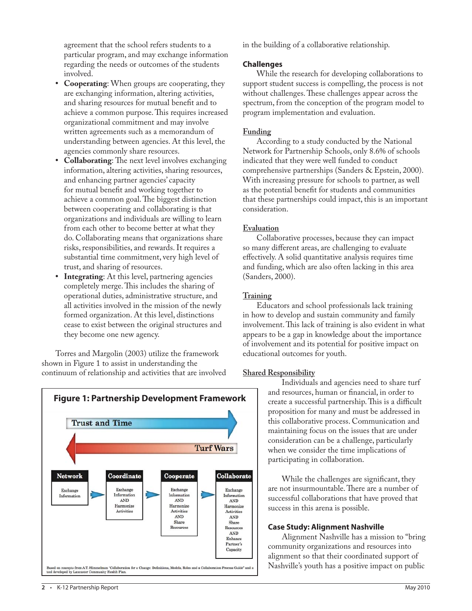agreement that the school refers students to a particular program, and may exchange information regarding the needs or outcomes of the students involved.

- **Cooperating**: When groups are cooperating, they **•** are exchanging information, altering activities, and sharing resources for mutual benefit and to achieve a common purpose. This requires increased organizational commitment and may involve written agreements such as a memorandum of understanding between agencies. At this level, the agencies commonly share resources.
- **Collaborating:** The next level involves exchanging information, altering activities, sharing resources, and enhancing partner agencies' capacity for mutual benefit and working together to achieve a common goal. The biggest distinction between cooperating and collaborating is that organizations and individuals are willing to learn from each other to become better at what they do. Collaborating means that organizations share risks, responsibilities, and rewards. It requires a substantial time commitment, very high level of trust, and sharing of resources. **•**
- **Integrating**: At this level, partnering agencies completely merge. This includes the sharing of operational duties, administrative structure, and all activities involved in the mission of the newly formed organization. At this level, distinctions cease to exist between the original structures and they become one new agency. **•**

Torres and Margolin (2003) utilize the framework shown in Figure 1 to assist in understanding the continuum of relationship and activities that are involved



in the building of a collaborative relationship.

## **Challenges**

While the research for developing collaborations to support student success is compelling, the process is not without challenges. These challenges appear across the spectrum, from the conception of the program model to program implementation and evaluation.

## **Funding**

According to a study conducted by the National Network for Partnership Schools, only 8.6% of schools indicated that they were well funded to conduct comprehensive partnerships (Sanders & Epstein, 2000). With increasing pressure for schools to partner, as well as the potential benefit for students and communities that these partnerships could impact, this is an important consideration.

## **Evaluation**

Collaborative processes, because they can impact so many different areas, are challenging to evaluate effectively. A solid quantitative analysis requires time and funding, which are also often lacking in this area (Sanders, 2000).

## **Training**

Educators and school professionals lack training in how to develop and sustain community and family involvement. This lack of training is also evident in what appears to be a gap in knowledge about the importance of involvement and its potential for positive impact on educational outcomes for youth.

## **Shared Responsibility**

Individuals and agencies need to share turf and resources, human or financial, in order to create a successful partnership. This is a difficult proposition for many and must be addressed in this collaborative process. Communication and maintaining focus on the issues that are under consideration can be a challenge, particularly when we consider the time implications of participating in collaboration.

While the challenges are significant, they are not insurmountable. There are a number of successful collaborations that have proved that success in this arena is possible.

## **Case Study: Alignment Nashville**

Alignment Nashville has a mission to "bring community organizations and resources into alignment so that their coordinated support of Nashville's youth has a positive impact on public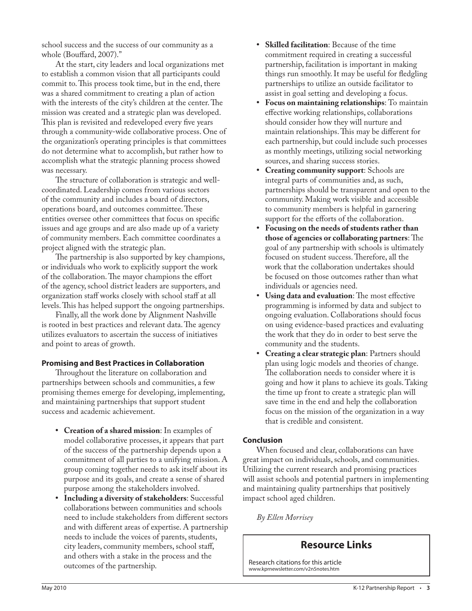school success and the success of our community as a whole (Bouffard,  $2007$ )."

At the start, city leaders and local organizations met to establish a common vision that all participants could commit to. This process took time, but in the end, there was a shared commitment to creating a plan of action with the interests of the city's children at the center. The mission was created and a strategic plan was developed. This plan is revisited and redeveloped every five years through a community-wide collaborative process. One of the organization's operating principles is that committees do not determine what to accomplish, but rather how to accomplish what the strategic planning process showed was necessary.

The structure of collaboration is strategic and wellcoordinated. Leadership comes from various sectors of the community and includes a board of directors, operations board, and outcomes committee. These entities oversee other committees that focus on specific issues and age groups and are also made up of a variety of community members. Each committee coordinates a project aligned with the strategic plan.

The partnership is also supported by key champions, or individuals who work to explicitly support the work of the collaboration. The mayor champions the effort of the agency, school district leaders are supporters, and organization staff works closely with school staff at all levels. This has helped support the ongoing partnerships.

Finally, all the work done by Alignment Nashville is rooted in best practices and relevant data. The agency utilizes evaluators to ascertain the success of initiatives and point to areas of growth.

## **Promising and Best Practices in Collaboration**

Throughout the literature on collaboration and partnerships between schools and communities, a few promising themes emerge for developing, implementing, and maintaining partnerships that support student success and academic achievement.

- **Creation of a shared mission**: In examples of **•** model collaborative processes, it appears that part of the success of the partnership depends upon a commitment of all parties to a unifying mission. A group coming together needs to ask itself about its purpose and its goals, and create a sense of shared purpose among the stakeholders involved.
- **Including a diversity of stakeholders**: Successful collaborations between communities and schools need to include stakeholders from different sectors and with different areas of expertise. A partnership needs to include the voices of parents, students, city leaders, community members, school staff, and others with a stake in the process and the outcomes of the partnership. **•**
- **Skilled facilitation**: Because of the time commitment required in creating a successful partnership, facilitation is important in making things run smoothly. It may be useful for fledgling partnerships to utilize an outside facilitator to assist in goal setting and developing a focus. **•**
- **Focus on maintaining relationships**: To maintain **•** effective working relationships, collaborations should consider how they will nurture and maintain relationships. This may be different for each partnership, but could include such processes as monthly meetings, utilizing social networking sources, and sharing success stories.
- **Creating community support**: Schools are integral parts of communities and, as such, partnerships should be transparent and open to the community. Making work visible and accessible to community members is helpful in garnering support for the efforts of the collaboration. **•**
- **Focusing on the needs of students rather than those of agencies or collaborating partners:** The goal of any partnership with schools is ultimately focused on student success. Therefore, all the work that the collaboration undertakes should be focused on those outcomes rather than what individuals or agencies need. **•**
- Using data and evaluation: The most effective programming is informed by data and subject to ongoing evaluation. Collaborations should focus on using evidence-based practices and evaluating the work that they do in order to best serve the community and the students.
- **Creating a clear strategic plan**: Partners should plan using logic models and theories of change. The collaboration needs to consider where it is going and how it plans to achieve its goals. Taking the time up front to create a strategic plan will save time in the end and help the collaboration focus on the mission of the organization in a way that is credible and consistent. **•**

## **Conclusion**

When focused and clear, collaborations can have great impact on individuals, schools, and communities. Utilizing the current research and promising practices will assist schools and potential partners in implementing and maintaining quality partnerships that positively impact school aged children.

*By Ellen Morrisey*

## **Resource Links**

Research citations for this article www.kprnewsletter.com/v2n5notes.htm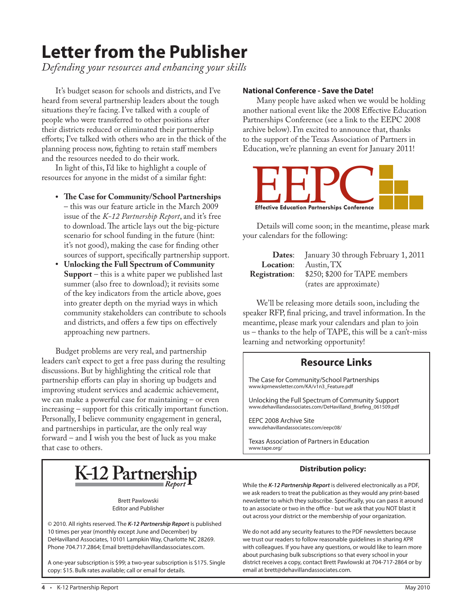# **Letter from the Publisher**

*Defending your resources and enhancing your skills*

It's budget season for schools and districts, and I've heard from several partnership leaders about the tough situations they're facing. I've talked with a couple of people who were transferred to other positions after their districts reduced or eliminated their partnership efforts; I've talked with others who are in the thick of the planning process now, fighting to retain staff members and the resources needed to do their work.

In light of this, I'd like to highlight a couple of resources for anyone in the midst of a similar fight:

- The Case for Community/School Partnerships – this was our feature article in the March 2009 issue of the *K-12 Partnership Report*, and it's free to download. The article lays out the big-picture scenario for school funding in the future (hint: it's not good), making the case for finding other sources of support, specifically partnership support.
- **Unlocking the Full Spectrum of Community • Support** – this is a white paper we published last summer (also free to download); it revisits some of the key indicators from the article above, goes into greater depth on the myriad ways in which community stakeholders can contribute to schools and districts, and offers a few tips on effectively approaching new partners.

Budget problems are very real, and partnership leaders can't expect to get a free pass during the resulting discussions. But by highlighting the critical role that partnership efforts can play in shoring up budgets and improving student services and academic achievement, we can make a powerful case for maintaining – or even increasing – support for this critically important function. Personally, I believe community engagement in general, and partnerships in particular, are the only real way forward – and I wish you the best of luck as you make that case to others.

## **National Conference - Save the Date!**

Many people have asked when we would be holding another national event like the 2008 Effective Education Partnerships Conference (see a link to the EEPC 2008 archive below). I'm excited to announce that, thanks to the support of the Texas Association of Partners in Education, we're planning an event for January 2011!



Details will come soon; in the meantime, please mark your calendars for the following:

|                      | <b>Dates:</b> January 30 through February 1, 2011 |
|----------------------|---------------------------------------------------|
|                      | Location: Austin, TX                              |
| <b>Registration:</b> | \$250; \$200 for TAPE members                     |
|                      | (rates are approximate)                           |

We'll be releasing more details soon, including the speaker RFP, final pricing, and travel information. In the meantime, please mark your calendars and plan to join us – thanks to the help of TAPE, this will be a can't-miss learning and networking opportunity!

## **Resource Links**

The Case for Community/School Partnerships www.kprnewsletter.com/KA/v1n3\_Feature.pdf

Unlocking the Full Spectrum of Community Support www.dehavillandassociates.com/DeHavilland\_Briefing\_061509.pdf

EEPC 2008 Archive Site www.dehavillandassociates.com/eepc08/

Texas Association of Partners in Education www.tape.org/

## **Distribution policy:**

While the *K-12 Partnership Report* is delivered electronically as a PDF, we ask readers to treat the publication as they would any print-based newsletter to which they subscribe. Specifically, you can pass it around to an associate or two in the office - but we ask that you NOT blast it

out across your district or the membership of your organization.

We do not add any security features to the PDF newsletters because we trust our readers to follow reasonable guidelines in sharing KPR with colleagues. If you have any questions, or would like to learn more about purchasing bulk subscriptions so that every school in your district receives a copy, contact Brett Pawlowski at 704-717-2864 or by email at brett@dehavillandassociates.com.

# **K-12 Partners**

Brett Pawlowski Editor and Publisher

© 2010. All rights reserved. The *K-12 Partnership Report* is published 10 times per year (monthly except June and December) by DeHavilland Associates, 10101 Lampkin Way, Charlotte NC 28269. Phone 704.717.2864; Email brett@dehavillandassociates.com.

A one-year subscription is \$99; a two-year subscription is \$175. Single copy: \$15. Bulk rates available; call or email for details.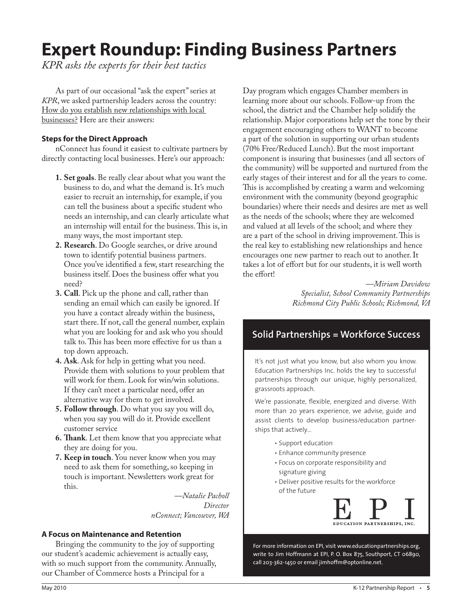# **Expert Roundup: Finding Business Partners**

*KPR asks the experts for their best tactics*

As part of our occasional "ask the expert" series at *KPR*, we asked partnership leaders across the country: How do you establish new relationships with local businesses? Here are their answers:

## **Steps for the Direct Approach**

nConnect has found it easiest to cultivate partners by directly contacting local businesses. Here's our approach:

- **Set goals**. Be really clear about what you want the **1.** business to do, and what the demand is. It's much easier to recruit an internship, for example, if you can tell the business about a specific student who needs an internship, and can clearly articulate what an internship will entail for the business. This is, in many ways, the most important step.
- **Research**. Do Google searches, or drive around **2.** town to identify potential business partners. Once you've identified a few, start researching the business itself. Does the business offer what you need?
- **Call**. Pick up the phone and call, rather than **3.** sending an email which can easily be ignored. If you have a contact already within the business, start there. If not, call the general number, explain what you are looking for and ask who you should talk to. This has been more effective for us than a top down approach.
- **Ask**. Ask for help in getting what you need. **4.** Provide them with solutions to your problem that will work for them. Look for win/win solutions. If they can't meet a particular need, offer an alternative way for them to get involved.
- **Follow through**. Do what you say you will do, **5.** when you say you will do it. Provide excellent customer service
- **Th ank**. Let them know that you appreciate what **6.** they are doing for you.
- **Keep in touch**. You never know when you may **7.** need to ask them for something, so keeping in touch is important. Newsletters work great for this.

 *—Natalie Pacholl Director nConnect; Vancouver, WA*

## **A Focus on Maintenance and Retention**

Bringing the community to the joy of supporting our student's academic achievement is actually easy, with so much support from the community. Annually, our Chamber of Commerce hosts a Principal for a

Day program which engages Chamber members in learning more about our schools. Follow-up from the school, the district and the Chamber help solidify the relationship. Major corporations help set the tone by their engagement encouraging others to WANT to become a part of the solution in supporting our urban students (70% Free/Reduced Lunch). But the most important component is insuring that businesses (and all sectors of the community) will be supported and nurtured from the early stages of their interest and for all the years to come. This is accomplished by creating a warm and welcoming environment with the community (beyond geographic boundaries) where their needs and desires are met as well as the needs of the schools; where they are welcomed and valued at all levels of the school; and where they are a part of the school in driving improvement. This is the real key to establishing new relationships and hence encourages one new partner to reach out to another. It takes a lot of effort but for our students, it is well worth the effort!

> *—Miriam Davidow Specialist, School Community Partnerships Richmond City Public Schools; Richmond, VA*

## **Solid Partnerships = Workforce Success**

It's not just what you know, but also whom you know. Education Partnerships Inc. holds the key to successful partnerships through our unique, highly personalized, grassroots approach.

We're passionate, flexible, energized and diverse. With more than 20 years experience, we advise, guide and assist clients to develop business/education partnerships that actively...

- Support education
- Enhance community presence
- Focus on corporate responsibility and signature giving
- Deliver positive results for the workforce of the future



For more information on EPI, visit www.educationpartnerships.org, write to Jim Hoffmann at EPI, P. O. Box 875, Southport, CT 06890, call 203-362-1450 or email jimhoffm@optonline.net.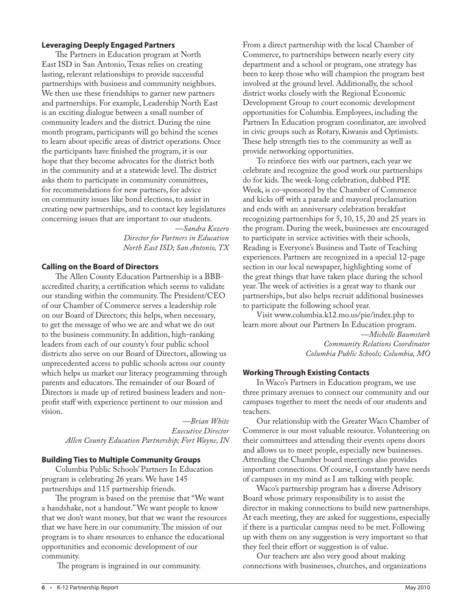## **Leveraging Deeply Engaged Partners**

The Partners in Education program at North East ISD in San Antonio, Texas relies on creating lasting, relevant relationships to provide successful partnerships with business and community neighbors. We then use these friendships to garner new partners and partnerships. For example, Leadership North East is an exciting dialogue between a small number of community leaders and the district. During the nine month program, participants will go behind the scenes to learn about specific areas of district operations. Once the participants have finished the program, it is our hope that they become advocates for the district both in the community and at a statewide level. The district asks them to participate in community committees, for recommendations for new partners, for advice on community issues like bond elections, to assist in creating new partnerships, and to contact key legislatures concerning issues that are important to our students.

> *—Sandra Kozero Director for Partners in Education North East ISD; San Antonio, TX*

## **Calling on the Board of Directors**

The Allen County Education Partnership is a BBBaccredited charity, a certification which seems to validate our standing within the community. The President/CEO of our Chamber of Commerce serves a leadership role on our Board of Directors; this helps, when necessary, to get the message of who we are and what we do out to the business community. In addition, high-ranking leaders from each of our county's four public school districts also serve on our Board of Directors, allowing us unprecedented access to public schools across our county which helps us market our literacy programming through parents and educators. The remainder of our Board of Directors is made up of retired business leaders and nonprofit staff with experience pertinent to our mission and vision.

> *—Brian White Executive Director Allen County Education Partnership; Fort Wayne, IN*

## **Building Ties to Multiple Community Groups**

Columbia Public Schools' Partners In Education program is celebrating 26 years. We have 145 partnerships and 115 partnership friends.

The program is based on the premise that "We want" a handshake, not a handout." We want people to know that we don't want money, but that we want the resources that we have here in our community. The mission of our program is to share resources to enhance the educational opportunities and economic development of our community.

The program is ingrained in our community.

From a direct partnership with the local Chamber of Commerce, to partnerships between nearly every city department and a school or program, one strategy has been to keep those who will champion the program best involved at the ground level. Additionally, the school district works closely with the Regional Economic Development Group to court economic development opportunities for Columbia. Employees, including the Partners In Education program coordinator, are involved in civic groups such as Rotary, Kiwanis and Optimists. These help strength ties to the community as well as provide networking opportunities.

To reinforce ties with our partners, each year we celebrate and recognize the good work our partnerships do for kids. The week-long celebration, dubbed PIE Week, is co-sponsored by the Chamber of Commerce and kicks off with a parade and mayoral proclamation and ends with an anniversary celebration breakfast recognizing partnerships for 5, 10, 15, 20 and 25 years in the program. During the week, businesses are encouraged to participate in service activities with their schools, Reading is Everyone's Business and Taste of Teaching experiences. Partners are recognized in a special 12-page section in our local newspaper, highlighting some of the great things that have taken place during the school year. The week of activities is a great way to thank our partnerships, but also helps recruit additional businesses to participate the following school year.

Visit www.columbia.k12.mo.us/pie/index.php to learn more about our Partners In Education program.  *—Michelle Baumstark Community Relations Coordinator Columbia Public Schools; Columbia, MO* 

## **Working Through Existing Contacts**

In Waco's Partners in Education program, we use three primary avenues to connect our community and our campuses together to meet the needs of our students and teachers.

Our relationship with the Greater Waco Chamber of Commerce is our most valuable resource. Volunteering on their committees and attending their events opens doors and allows us to meet people, especially new businesses. Attending the Chamber board meetings also provides important connections. Of course, I constantly have needs of campuses in my mind as I am talking with people.

Waco's partnership program has a diverse Advisory Board whose primary responsibility is to assist the director in making connections to build new partnerships. At each meeting, they are asked for suggestions, especially if there is a particular campus need to be met. Following up with them on any suggestion is very important so that they feel their effort or suggestion is of value.

Our teachers are also very good about making connections with businesses, churches, and organizations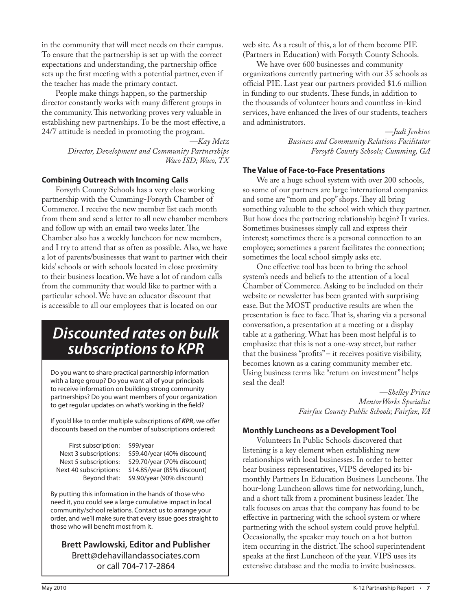in the community that will meet needs on their campus. To ensure that the partnership is set up with the correct expectations and understanding, the partnership office sets up the first meeting with a potential partner, even if the teacher has made the primary contact.

People make things happen, so the partnership director constantly works with many different groups in the community. This networking proves very valuable in establishing new partnerships. To be the most effective, a 24/7 attitude is needed in promoting the program.

> *—Kay Metz Director, Development and Community Partnerships Waco ISD; Waco, TX*

## **Combining Outreach with Incoming Calls**

Forsyth County Schools has a very close working partnership with the Cumming-Forsyth Chamber of Commerce. I receive the new member list each month from them and send a letter to all new chamber members and follow up with an email two weeks later. The Chamber also has a weekly luncheon for new members, and I try to attend that as often as possible. Also, we have a lot of parents/businesses that want to partner with their kids' schools or with schools located in close proximity to their business location. We have a lot of random calls from the community that would like to partner with a particular school. We have an educator discount that is accessible to all our employees that is located on our

## *Discounted rates on bulk subscriptions to KPR*

Do you want to share practical partnership information with a large group? Do you want all of your principals to receive information on building strong community partnerships? Do you want members of your organization to get regular updates on what's working in the field?

If you'd like to order multiple subscriptions of **KPR**, we offer discounts based on the number of subscriptions ordered:

First subscription: \$99/year

 Next 3 subscriptions: \$59.40/year (40% discount) Next 5 subscriptions: \$29.70/year (70% discount) Next 40 subscriptions: \$14.85/year (85% discount) Beyond that: \$9.90/year (90% discount)

By putting this information in the hands of those who need it, you could see a large cumulative impact in local community/school relations. Contact us to arrange your order, and we'll make sure that every issue goes straight to those who will benefit most from it.

**Brett Pawlowski, Editor and Publisher** Brett@dehavillandassociates.com or call 704-717-2864

web site. As a result of this, a lot of them become PIE (Partners in Education) with Forsyth County Schools.

We have over 600 businesses and community organizations currently partnering with our 35 schools as official PIE. Last year our partners provided \$1.6 million in funding to our students. These funds, in addition to the thousands of volunteer hours and countless in-kind services, have enhanced the lives of our students, teachers and administrators.

> *—Judi Jenkins Business and Community Relations Facilitator Forsyth County Schools; Cumming, GA*

## **The Value of Face-to-Face Presentations**

We are a huge school system with over 200 schools, so some of our partners are large international companies and some are "mom and pop" shops. They all bring something valuable to the school with which they partner. But how does the partnering relationship begin? It varies. Sometimes businesses simply call and express their interest; sometimes there is a personal connection to an employee; sometimes a parent facilitates the connection; sometimes the local school simply asks etc.

One effective tool has been to bring the school system's needs and beliefs to the attention of a local Chamber of Commerce. Asking to be included on their website or newsletter has been granted with surprising ease. But the MOST productive results are when the presentation is face to face. That is, sharing via a personal conversation, a presentation at a meeting or a display table at a gathering. What has been most helpful is to emphasize that this is not a one-way street, but rather that the business "profits" – it receives positive visibility, becomes known as a caring community member etc. Using business terms like "return on investment" helps seal the deal!

> *—Shelley Prince MentorWorks Specialist Fairfax County Public Schools; Fairfax, VA*

## **Monthly Luncheons as a Development Tool**

Volunteers In Public Schools discovered that listening is a key element when establishing new relationships with local businesses. In order to better hear business representatives, VIPS developed its bimonthly Partners In Education Business Luncheons. The hour-long Luncheon allows time for networking, lunch, and a short talk from a prominent business leader. The talk focuses on areas that the company has found to be effective in partnering with the school system or where partnering with the school system could prove helpful. Occasionally, the speaker may touch on a hot button item occurring in the district. The school superintendent speaks at the first Luncheon of the year. VIPS uses its extensive database and the media to invite businesses.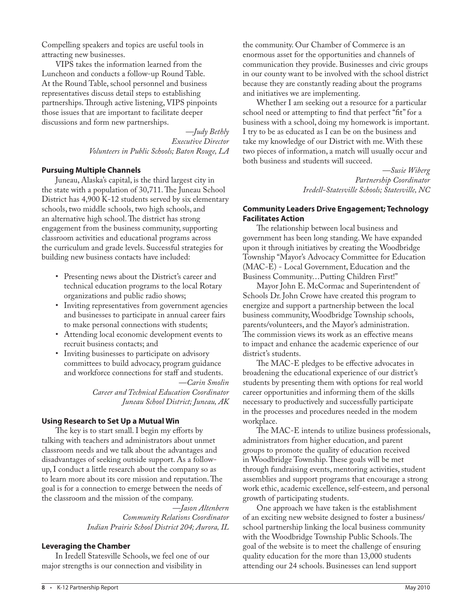Compelling speakers and topics are useful tools in attracting new businesses.

VIPS takes the information learned from the Luncheon and conducts a follow-up Round Table. At the Round Table, school personnel and business representatives discuss detail steps to establishing partnerships. Through active listening, VIPS pinpoints those issues that are important to facilitate deeper discussions and form new partnerships.

> *—Judy Bethly Executive Director Volunteers in Public Schools; Baton Rouge, LA*

## **Pursuing Multiple Channels**

Juneau, Alaska's capital, is the third largest city in the state with a population of 30,711. The Juneau School District has 4,900 K-12 students served by six elementary schools, two middle schools, two high schools, and an alternative high school. The district has strong engagement from the business community, supporting classroom activities and educational programs across the curriculum and grade levels. Successful strategies for building new business contacts have included:

- Presenting news about the District's career and technical education programs to the local Rotary organizations and public radio shows;
- Inviting representatives from government agencies and businesses to participate in annual career fairs to make personal connections with students;
- Attending local economic development events to recruit business contacts; and
- Inviting businesses to participate on advisory committees to build advocacy, program guidance and workforce connections for staff and students.

 *—Carin Smolin Career and Technical Education Coordinator Juneau School District; Juneau, AK*

## **Using Research to Set Up a Mutual Win**

The key is to start small. I begin my efforts by talking with teachers and administrators about unmet classroom needs and we talk about the advantages and disadvantages of seeking outside support. As a followup, I conduct a little research about the company so as to learn more about its core mission and reputation. The goal is for a connection to emerge between the needs of the classroom and the mission of the company.

> *—Jason Altenbern Community Relations Coordinator Indian Prairie School District 204; Aurora, IL*

## **Leveraging the Chamber**

In Iredell Statesville Schools, we feel one of our major strengths is our connection and visibility in

the community. Our Chamber of Commerce is an enormous asset for the opportunities and channels of communication they provide. Businesses and civic groups in our county want to be involved with the school district because they are constantly reading about the programs and initiatives we are implementing.

Whether I am seeking out a resource for a particular school need or attempting to find that perfect "fit" for a business with a school, doing my homework is important. I try to be as educated as I can be on the business and take my knowledge of our District with me. With these two pieces of information, a match will usually occur and both business and students will succeed.

> *—Susie Wiberg Partnership Coordinator Iredell-Statesville Schools; Statesville, NC*

## **Community Leaders Drive Engagement; Technology Facilitates Action**

The relationship between local business and government has been long standing. We have expanded upon it through initiatives by creating the Woodbridge Township "Mayor's Advocacy Committee for Education (MAC-E) - Local Government, Education and the Business Community…Putting Children First!"

Mayor John E. McCormac and Superintendent of Schools Dr. John Crowe have created this program to energize and support a partnership between the local business community, Woodbridge Township schools, parents/volunteers, and the Mayor's administration. The commission views its work as an effective means to impact and enhance the academic experience of our district's students.

The MAC-E pledges to be effective advocates in broadening the educational experience of our district's students by presenting them with options for real world career opportunities and informing them of the skills necessary to productively and successfully participate in the processes and procedures needed in the modem workplace.

The MAC-E intends to utilize business professionals, administrators from higher education, and parent groups to promote the quality of education received in Woodbridge Township. These goals will be met through fundraising events, mentoring activities, student assemblies and support programs that encourage a strong work ethic, academic excellence, self-esteem, and personal growth of participating students.

One approach we have taken is the establishment of an exciting new website designed to foster a business/ school partnership linking the local business community with the Woodbridge Township Public Schools. The goal of the website is to meet the challenge of ensuring quality education for the more than 13,000 students attending our 24 schools. Businesses can lend support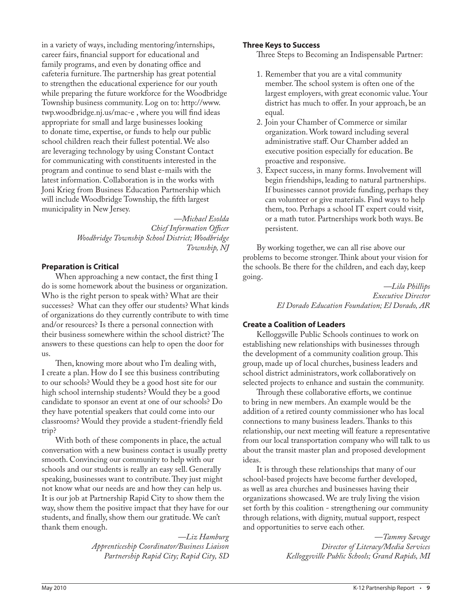in a variety of ways, including mentoring/internships, career fairs, financial support for educational and family programs, and even by donating office and cafeteria furniture. The partnership has great potential to strengthen the educational experience for our youth while preparing the future workforce for the Woodbridge Township business community. Log on to: http://www. twp.woodbridge.nj.us/mac-e, where you will find ideas appropriate for small and large businesses looking to donate time, expertise, or funds to help our public school children reach their fullest potential. We also are leveraging technology by using Constant Contact for communicating with constituents interested in the program and continue to send blast e-mails with the latest information. Collaboration is in the works with Joni Krieg from Business Education Partnership which will include Woodbridge Township, the fifth largest municipality in New Jersey.

> *—Michael Esolda Chief Information Officer Woodbridge Township School District; Woodbridge Township, NJ*

## **Preparation is Critical**

When approaching a new contact, the first thing  $I$ do is some homework about the business or organization. Who is the right person to speak with? What are their successes? What can they offer our students? What kinds of organizations do they currently contribute to with time and/or resources? Is there a personal connection with their business somewhere within the school district? The answers to these questions can help to open the door for us.

Then, knowing more about who I'm dealing with, I create a plan. How do I see this business contributing to our schools? Would they be a good host site for our high school internship students? Would they be a good candidate to sponsor an event at one of our schools? Do they have potential speakers that could come into our classrooms? Would they provide a student-friendly field trip?

With both of these components in place, the actual conversation with a new business contact is usually pretty smooth. Convincing our community to help with our schools and our students is really an easy sell. Generally speaking, businesses want to contribute. They just might not know what our needs are and how they can help us. It is our job at Partnership Rapid City to show them the way, show them the positive impact that they have for our students, and finally, show them our gratitude. We can't thank them enough.

> *—Liz Hamburg Apprenticeship Coordinator/Business Liaison Partnership Rapid City; Rapid City, SD*

## **Three Keys to Success**

Three Steps to Becoming an Indispensable Partner:

- 1. Remember that you are a vital community member. The school system is often one of the largest employers, with great economic value. Your district has much to offer. In your approach, be an equal.
- 2. Join your Chamber of Commerce or similar organization. Work toward including several administrative staff. Our Chamber added an executive position especially for education. Be proactive and responsive.
- Expect success, in many forms. Involvement will 3.begin friendships, leading to natural partnerships. If businesses cannot provide funding, perhaps they can volunteer or give materials. Find ways to help them, too. Perhaps a school IT expert could visit, or a math tutor. Partnerships work both ways. Be persistent.

By working together, we can all rise above our problems to become stronger. Think about your vision for the schools. Be there for the children, and each day, keep going.

> *—Lila Phillips Executive Director El Dorado Education Foundation; El Dorado, AR*

## **Create a Coalition of Leaders**

Kelloggsville Public Schools continues to work on establishing new relationships with businesses through the development of a community coalition group. This group, made up of local churches, business leaders and school district administrators, work collaboratively on selected projects to enhance and sustain the community.

Through these collaborative efforts, we continue to bring in new members. An example would be the addition of a retired county commissioner who has local connections to many business leaders. Thanks to this relationship, our next meeting will feature a representative from our local transportation company who will talk to us about the transit master plan and proposed development ideas.

It is through these relationships that many of our school-based projects have become further developed, as well as area churches and businesses having their organizations showcased. We are truly living the vision set forth by this coalition - strengthening our community through relations, with dignity, mutual support, respect and opportunities to serve each other.

> *—Tammy Savage Director of Literacy/Media Services Kelloggsville Public Schools; Grand Rapids, MI*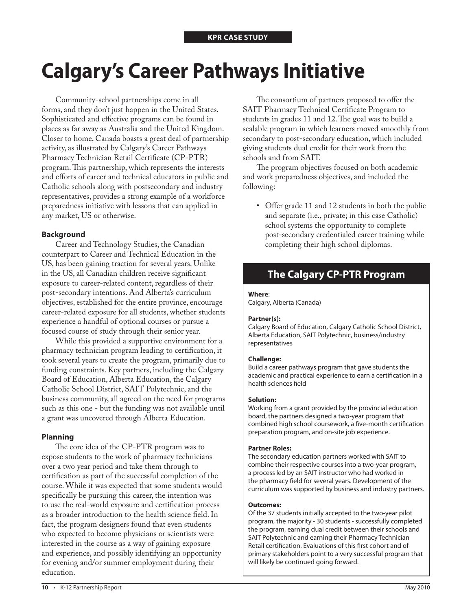# **Calgary's Career Pathways Initiative**

Community-school partnerships come in all forms, and they don't just happen in the United States. Sophisticated and effective programs can be found in places as far away as Australia and the United Kingdom. Closer to home, Canada boasts a great deal of partnership activity, as illustrated by Calgary's Career Pathways Pharmacy Technician Retail Certificate (CP-PTR) program. This partnership, which represents the interests and efforts of career and technical educators in public and Catholic schools along with postsecondary and industry representatives, provides a strong example of a workforce preparedness initiative with lessons that can applied in any market, US or otherwise.

## **Background**

Career and Technology Studies, the Canadian counterpart to Career and Technical Education in the US, has been gaining traction for several years. Unlike in the US, all Canadian children receive significant exposure to career-related content, regardless of their post-secondary intentions. And Alberta's curriculum objectives, established for the entire province, encourage career-related exposure for all students, whether students experience a handful of optional courses or pursue a focused course of study through their senior year.

While this provided a supportive environment for a pharmacy technician program leading to certification, it took several years to create the program, primarily due to funding constraints. Key partners, including the Calgary Board of Education, Alberta Education, the Calgary Catholic School District, SAIT Polytechnic, and the business community, all agreed on the need for programs such as this one - but the funding was not available until a grant was uncovered through Alberta Education.

## **Planning**

The core idea of the CP-PTR program was to expose students to the work of pharmacy technicians over a two year period and take them through to certification as part of the successful completion of the course. While it was expected that some students would specifically be pursuing this career, the intention was to use the real-world exposure and certification process as a broader introduction to the health science field. In fact, the program designers found that even students who expected to become physicians or scientists were interested in the course as a way of gaining exposure and experience, and possibly identifying an opportunity for evening and/or summer employment during their education.

The consortium of partners proposed to offer the SAIT Pharmacy Technical Certificate Program to students in grades 11 and 12. The goal was to build a scalable program in which learners moved smoothly from secondary to post-secondary education, which included giving students dual credit for their work from the schools and from SAIT.

The program objectives focused on both academic and work preparedness objectives, and included the following:

• Offer grade 11 and 12 students in both the public and separate (i.e., private; in this case Catholic) school systems the opportunity to complete post-secondary credentialed career training while completing their high school diplomas.

## **The Calgary CP-PTR Program**

#### **Where**:

Calgary, Alberta (Canada)

#### **Partner(s):**

Calgary Board of Education, Calgary Catholic School District, Alberta Education, SAIT Polytechnic, business/industry representatives

## **Challenge:**

Build a career pathways program that gave students the academic and practical experience to earn a certification in a health sciences field

## **Solution:**

Working from a grant provided by the provincial education board, the partners designed a two-year program that combined high school coursework, a five-month certification preparation program, and on-site job experience.

## **Partner Roles:**

The secondary education partners worked with SAIT to combine their respective courses into a two-year program, a process led by an SAIT instructor who had worked in the pharmacy field for several years. Development of the curriculum was supported by business and industry partners.

#### **Outcomes:**

Of the 37 students initially accepted to the two-year pilot program, the majority - 30 students - successfully completed the program, earning dual credit between their schools and SAIT Polytechnic and earning their Pharmacy Technician Retail certification. Evaluations of this first cohort and of primary stakeholders point to a very successful program that will likely be continued going forward.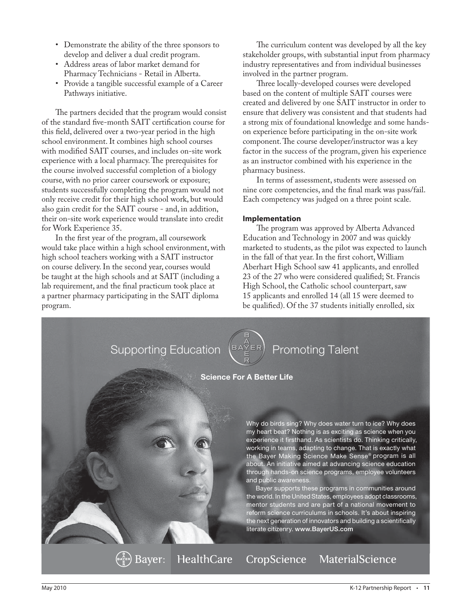- Demonstrate the ability of the three sponsors to develop and deliver a dual credit program.
- Address areas of labor market demand for Pharmacy Technicians - Retail in Alberta. •
- Provide a tangible successful example of a Career Pathways initiative.

The partners decided that the program would consist of the standard five-month SAIT certification course for this field, delivered over a two-year period in the high school environment. It combines high school courses with modified SAIT courses, and includes on-site work experience with a local pharmacy. The prerequisites for the course involved successful completion of a biology course, with no prior career coursework or exposure; students successfully completing the program would not only receive credit for their high school work, but would also gain credit for the SAIT course - and, in addition, their on-site work experience would translate into credit for Work Experience 35.

In the first year of the program, all coursework would take place within a high school environment, with high school teachers working with a SAIT instructor on course delivery. In the second year, courses would be taught at the high schools and at SAIT (including a lab requirement, and the final practicum took place at a partner pharmacy participating in the SAIT diploma program.

The curriculum content was developed by all the key stakeholder groups, with substantial input from pharmacy industry representatives and from individual businesses involved in the partner program.

Three locally-developed courses were developed based on the content of multiple SAIT courses were created and delivered by one SAIT instructor in order to ensure that delivery was consistent and that students had a strong mix of foundational knowledge and some handson experience before participating in the on-site work component. The course developer/instructor was a key factor in the success of the program, given his experience as an instructor combined with his experience in the pharmacy business.

In terms of assessment, students were assessed on nine core competencies, and the final mark was pass/fail. Each competency was judged on a three point scale.

## **Implementation**

The program was approved by Alberta Advanced Education and Technology in 2007 and was quickly marketed to students, as the pilot was expected to launch in the fall of that year. In the first cohort, William Aberhart High School saw 41 applicants, and enrolled 23 of the 27 who were considered qualified; St. Francis High School, the Catholic school counterpart, saw 15 applicants and enrolled 14 (all 15 were deemed to be qualified). Of the 37 students initially enrolled, six